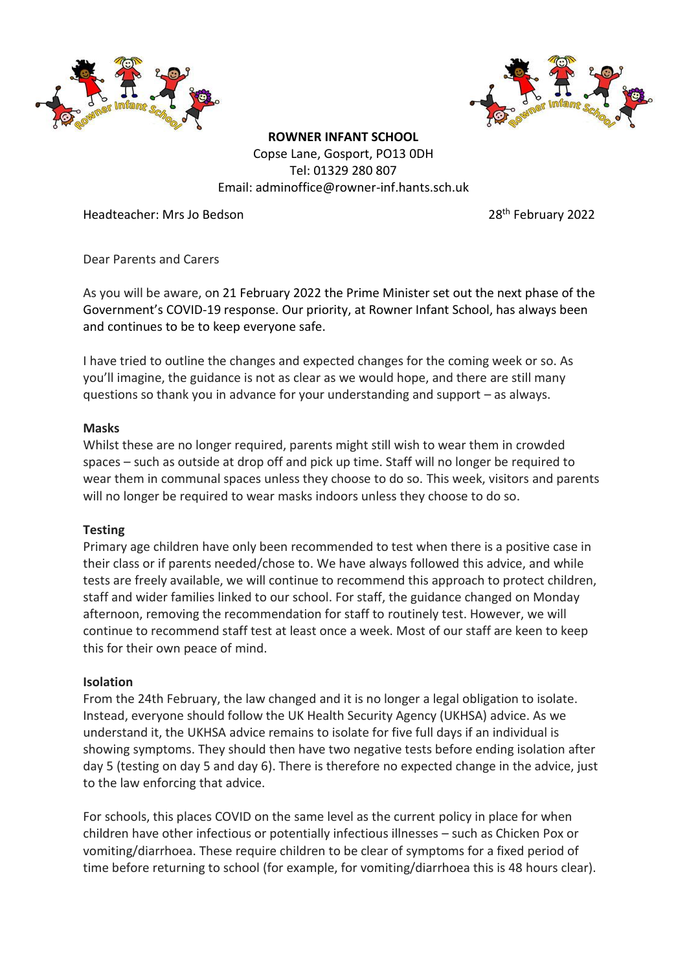



**ROWNER INFANT SCHOOL** Copse Lane, Gosport, PO13 0DH Tel: 01329 280 807 Email: adminoffice@rowner-inf.hants.sch.uk

Headteacher: Mrs Jo Bedson 28th February 2022

Dear Parents and Carers

As you will be aware, on 21 February 2022 the Prime Minister set out the next phase of the Government's COVID-19 response. Our priority, at Rowner Infant School, has always been and continues to be to keep everyone safe.

I have tried to outline the changes and expected changes for the coming week or so. As you'll imagine, the guidance is not as clear as we would hope, and there are still many questions so thank you in advance for your understanding and support – as always.

# **Masks**

Whilst these are no longer required, parents might still wish to wear them in crowded spaces – such as outside at drop off and pick up time. Staff will no longer be required to wear them in communal spaces unless they choose to do so. This week, visitors and parents will no longer be required to wear masks indoors unless they choose to do so.

# **Testing**

Primary age children have only been recommended to test when there is a positive case in their class or if parents needed/chose to. We have always followed this advice, and while tests are freely available, we will continue to recommend this approach to protect children, staff and wider families linked to our school. For staff, the guidance changed on Monday afternoon, removing the recommendation for staff to routinely test. However, we will continue to recommend staff test at least once a week. Most of our staff are keen to keep this for their own peace of mind.

# **Isolation**

From the 24th February, the law changed and it is no longer a legal obligation to isolate. Instead, everyone should follow the UK Health Security Agency (UKHSA) advice. As we understand it, the UKHSA advice remains to isolate for five full days if an individual is showing symptoms. They should then have two negative tests before ending isolation after day 5 (testing on day 5 and day 6). There is therefore no expected change in the advice, just to the law enforcing that advice.

For schools, this places COVID on the same level as the current policy in place for when children have other infectious or potentially infectious illnesses – such as Chicken Pox or vomiting/diarrhoea. These require children to be clear of symptoms for a fixed period of time before returning to school (for example, for vomiting/diarrhoea this is 48 hours clear).